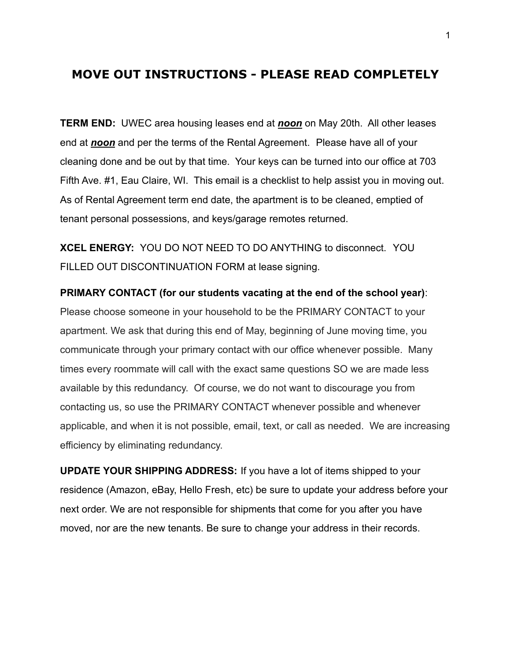# **MOVE OUT INSTRUCTIONS - PLEASE READ COMPLETELY**

**TERM END:** UWEC area housing leases end at *noon* on May 20th. All other leases end at *noon* and per the terms of the Rental Agreement. Please have all of your cleaning done and be out by that time. Your keys can be turned into our office at 703 Fifth Ave. #1, Eau Claire, WI. This email is a checklist to help assist you in moving out. As of Rental Agreement term end date, the apartment is to be cleaned, emptied of tenant personal possessions, and keys/garage remotes returned.

**XCEL ENERGY:** YOU DO NOT NEED TO DO ANYTHING to disconnect. YOU FILLED OUT DISCONTINUATION FORM at lease signing.

**PRIMARY CONTACT (for our students vacating at the end of the school year)**: Please choose someone in your household to be the PRIMARY CONTACT to your apartment. We ask that during this end of May, beginning of June moving time, you communicate through your primary contact with our office whenever possible. Many times every roommate will call with the exact same questions SO we are made less available by this redundancy. Of course, we do not want to discourage you from contacting us, so use the PRIMARY CONTACT whenever possible and whenever applicable, and when it is not possible, email, text, or call as needed. We are increasing efficiency by eliminating redundancy.

**UPDATE YOUR SHIPPING ADDRESS:** If you have a lot of items shipped to your residence (Amazon, eBay, Hello Fresh, etc) be sure to update your address before your next order. We are not responsible for shipments that come for you after you have moved, nor are the new tenants. Be sure to change your address in their records.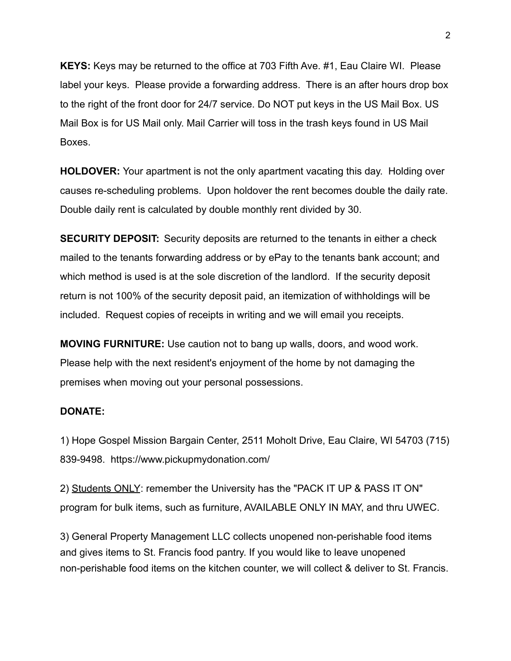**KEYS:** Keys may be returned to the office at 703 Fifth Ave. #1, Eau Claire WI. Please label your keys. Please provide a forwarding address. There is an after hours drop box to the right of the front door for 24/7 service. Do NOT put keys in the US Mail Box. US Mail Box is for US Mail only. Mail Carrier will toss in the trash keys found in US Mail Boxes.

**HOLDOVER:** Your apartment is not the only apartment vacating this day. Holding over causes re-scheduling problems. Upon holdover the rent becomes double the daily rate. Double daily rent is calculated by double monthly rent divided by 30.

**SECURITY DEPOSIT:** Security deposits are returned to the tenants in either a check mailed to the tenants forwarding address or by ePay to the tenants bank account; and which method is used is at the sole discretion of the landlord. If the security deposit return is not 100% of the security deposit paid, an itemization of withholdings will be included. Request copies of receipts in writing and we will email you receipts.

**MOVING FURNITURE:** Use caution not to bang up walls, doors, and wood work. Please help with the next resident's enjoyment of the home by not damaging the premises when moving out your personal possessions.

#### **DONATE:**

1) Hope Gospel Mission Bargain Center, 2511 Moholt Drive, Eau Claire, WI 54703 (715) 839-9498. https://www.pickupmydonation.com/

2) Students ONLY: remember the University has the "PACK IT UP & PASS IT ON" program for bulk items, such as furniture, AVAILABLE ONLY IN MAY, and thru UWEC.

3) General Property Management LLC collects unopened non-perishable food items and gives items to St. Francis food pantry. If you would like to leave unopened non-perishable food items on the kitchen counter, we will collect & deliver to St. Francis.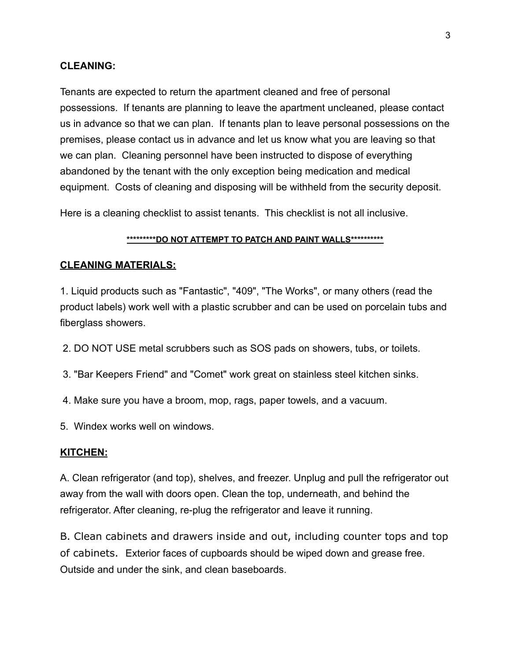#### **CLEANING:**

Tenants are expected to return the apartment cleaned and free of personal possessions. If tenants are planning to leave the apartment uncleaned, please contact us in advance so that we can plan. If tenants plan to leave personal possessions on the premises, please contact us in advance and let us know what you are leaving so that we can plan. Cleaning personnel have been instructed to dispose of everything abandoned by the tenant with the only exception being medication and medical equipment. Costs of cleaning and disposing will be withheld from the security deposit.

Here is a cleaning checklist to assist tenants. This checklist is not all inclusive.

#### **\*\*\*\*\*\*\*\*\*DO NOT ATTEMPT TO PATCH AND PAINT WALLS\*\*\*\*\*\*\*\*\*\***

#### **CLEANING MATERIALS:**

1. Liquid products such as "Fantastic", "409", "The Works", or many others (read the product labels) work well with a plastic scrubber and can be used on porcelain tubs and fiberglass showers.

- 2. DO NOT USE metal scrubbers such as SOS pads on showers, tubs, or toilets.
- 3. "Bar Keepers Friend" and "Comet" work great on stainless steel kitchen sinks.
- 4. Make sure you have a broom, mop, rags, paper towels, and a vacuum.
- 5. Windex works well on windows.

#### **KITCHEN:**

A. Clean refrigerator (and top), shelves, and freezer. Unplug and pull the refrigerator out away from the wall with doors open. Clean the top, underneath, and behind the refrigerator. After cleaning, re-plug the refrigerator and leave it running.

B. Clean cabinets and drawers inside and out, including counter tops and top of cabinets. Exterior faces of cupboards should be wiped down and grease free. Outside and under the sink, and clean baseboards.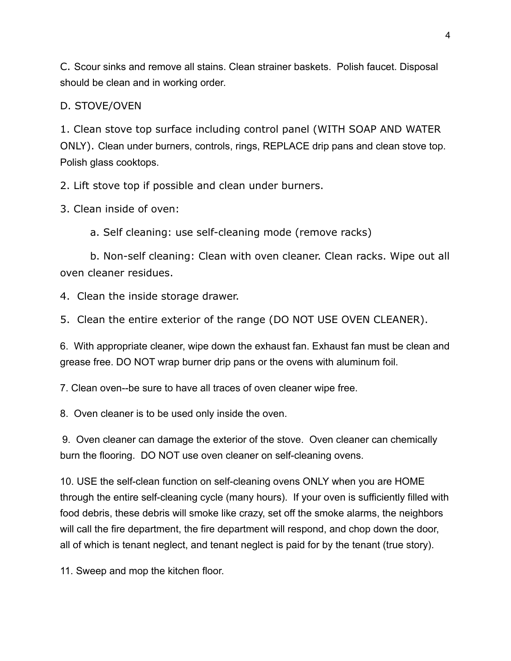C. Scour sinks and remove all stains. Clean strainer baskets. Polish faucet. Disposal should be clean and in working order.

### D. STOVE/OVEN

1. Clean stove top surface including control panel (WITH SOAP AND WATER ONLY). Clean under burners, controls, rings, REPLACE drip pans and clean stove top. Polish glass cooktops.

2. Lift stove top if possible and clean under burners.

3. Clean inside of oven:

a. Self cleaning: use self-cleaning mode (remove racks)

b. Non-self cleaning: Clean with oven cleaner. Clean racks. Wipe out all oven cleaner residues.

4. Clean the inside storage drawer.

5. Clean the entire exterior of the range (DO NOT USE OVEN CLEANER).

6. With appropriate cleaner, wipe down the exhaust fan. Exhaust fan must be clean and grease free. DO NOT wrap burner drip pans or the ovens with aluminum foil.

7. Clean oven--be sure to have all traces of oven cleaner wipe free.

8. Oven cleaner is to be used only inside the oven.

9. Oven cleaner can damage the exterior of the stove. Oven cleaner can chemically burn the flooring. DO NOT use oven cleaner on self-cleaning ovens.

10. USE the self-clean function on self-cleaning ovens ONLY when you are HOME through the entire self-cleaning cycle (many hours). If your oven is sufficiently filled with food debris, these debris will smoke like crazy, set off the smoke alarms, the neighbors will call the fire department, the fire department will respond, and chop down the door, all of which is tenant neglect, and tenant neglect is paid for by the tenant (true story).

11. Sweep and mop the kitchen floor.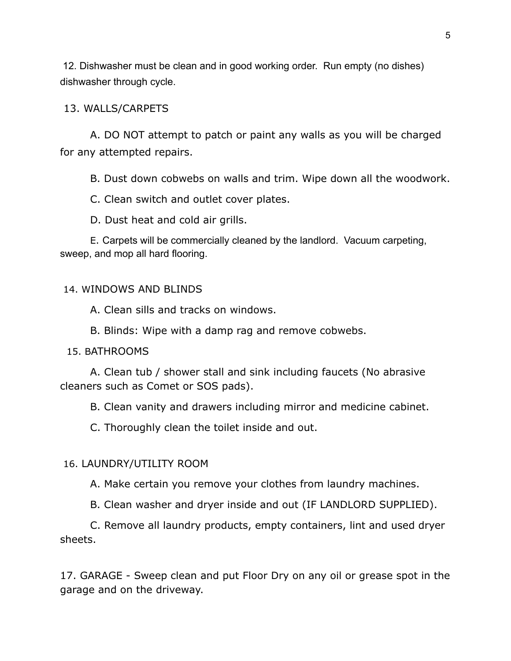12. Dishwasher must be clean and in good working order. Run empty (no dishes) dishwasher through cycle.

### 13. WALLS/CARPETS

A. DO NOT attempt to patch or paint any walls as you will be charged for any attempted repairs.

B. Dust down cobwebs on walls and trim. Wipe down all the woodwork.

C. Clean switch and outlet cover plates.

D. Dust heat and cold air grills.

E. Carpets will be commercially cleaned by the landlord. Vacuum carpeting, sweep, and mop all hard flooring.

## 14. WINDOWS AND BLINDS

A. Clean sills and tracks on windows.

B. Blinds: Wipe with a damp rag and remove cobwebs.

#### 15. BATHROOMS

A. Clean tub / shower stall and sink including faucets (No abrasive cleaners such as Comet or SOS pads).

B. Clean vanity and drawers including mirror and medicine cabinet.

C. Thoroughly clean the toilet inside and out.

## 16. LAUNDRY/UTILITY ROOM

A. Make certain you remove your clothes from laundry machines.

B. Clean washer and dryer inside and out (IF LANDLORD SUPPLIED).

C. Remove all laundry products, empty containers, lint and used dryer sheets.

17. GARAGE - Sweep clean and put Floor Dry on any oil or grease spot in the garage and on the driveway.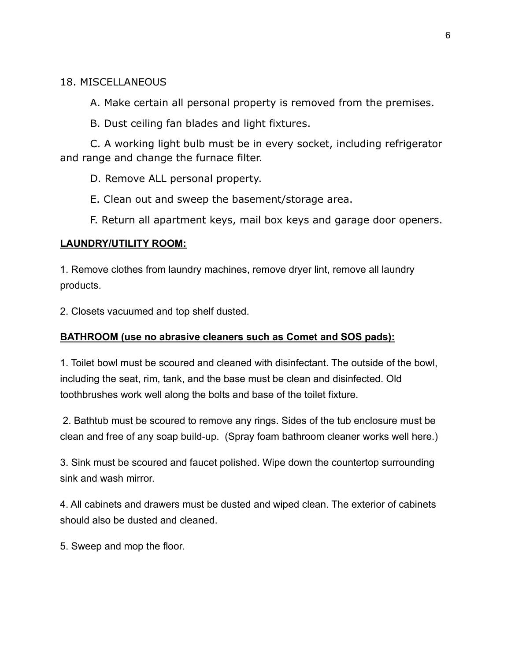## 18. MISCELLANEOUS

A. Make certain all personal property is removed from the premises.

B. Dust ceiling fan blades and light fixtures.

C. A working light bulb must be in every socket, including refrigerator and range and change the furnace filter.

D. Remove ALL personal property.

E. Clean out and sweep the basement/storage area.

F. Return all apartment keys, mail box keys and garage door openers.

### **LAUNDRY/UTILITY ROOM:**

1. Remove clothes from laundry machines, remove dryer lint, remove all laundry products.

2. Closets vacuumed and top shelf dusted.

## **BATHROOM (use no abrasive cleaners such as Comet and SOS pads):**

1. Toilet bowl must be scoured and cleaned with disinfectant. The outside of the bowl, including the seat, rim, tank, and the base must be clean and disinfected. Old toothbrushes work well along the bolts and base of the toilet fixture.

2. Bathtub must be scoured to remove any rings. Sides of the tub enclosure must be clean and free of any soap build-up. (Spray foam bathroom cleaner works well here.)

3. Sink must be scoured and faucet polished. Wipe down the countertop surrounding sink and wash mirror.

4. All cabinets and drawers must be dusted and wiped clean. The exterior of cabinets should also be dusted and cleaned.

5. Sweep and mop the floor.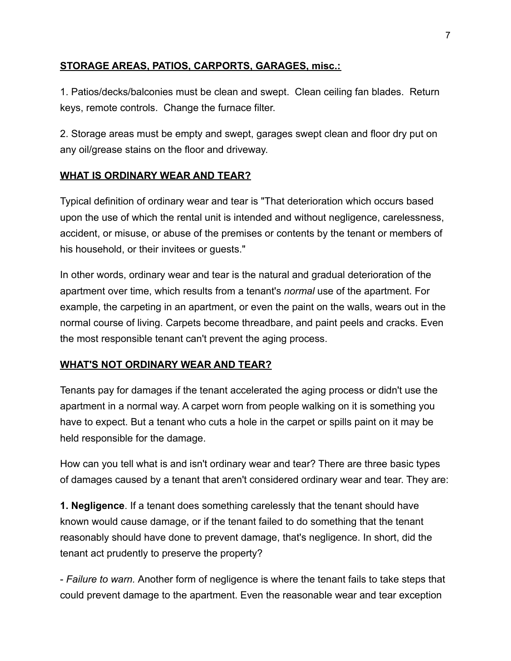## **STORAGE AREAS, PATIOS, CARPORTS, GARAGES, misc.:**

1. Patios/decks/balconies must be clean and swept. Clean ceiling fan blades. Return keys, remote controls. Change the furnace filter.

2. Storage areas must be empty and swept, garages swept clean and floor dry put on any oil/grease stains on the floor and driveway.

## **WHAT IS ORDINARY WEAR AND TEAR?**

Typical definition of ordinary wear and tear is "That deterioration which occurs based upon the use of which the rental unit is intended and without negligence, carelessness, accident, or misuse, or abuse of the premises or contents by the tenant or members of his household, or their invitees or guests."

In other words, ordinary wear and tear is the natural and gradual deterioration of the apartment over time, which results from a tenant's *normal* use of the apartment. For example, the carpeting in an apartment, or even the paint on the walls, wears out in the normal course of living. Carpets become threadbare, and paint peels and cracks. Even the most responsible tenant can't prevent the aging process.

## **WHAT'S NOT ORDINARY WEAR AND TEAR?**

Tenants pay for damages if the tenant accelerated the aging process or didn't use the apartment in a normal way. A carpet worn from people walking on it is something you have to expect. But a tenant who cuts a hole in the carpet or spills paint on it may be held responsible for the damage.

How can you tell what is and isn't ordinary wear and tear? There are three basic types of damages caused by a tenant that aren't considered ordinary wear and tear. They are:

**1. Negligence**. If a tenant does something carelessly that the tenant should have known would cause damage, or if the tenant failed to do something that the tenant reasonably should have done to prevent damage, that's negligence. In short, did the tenant act prudently to preserve the property?

- *Failure to warn.* Another form of negligence is where the tenant fails to take steps that could prevent damage to the apartment. Even the reasonable wear and tear exception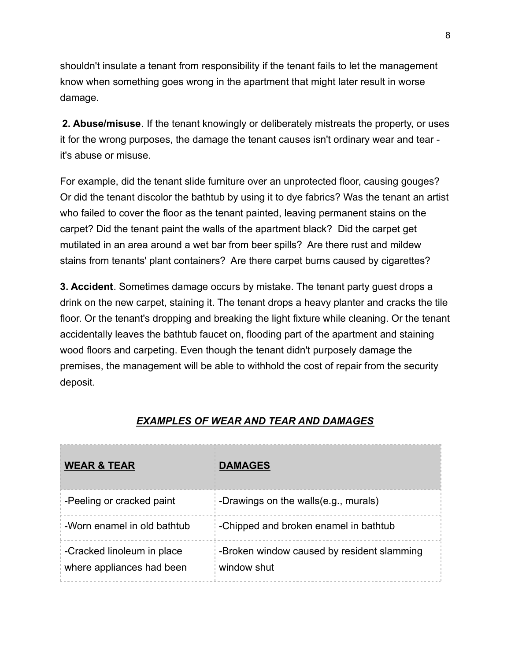shouldn't insulate a tenant from responsibility if the tenant fails to let the management know when something goes wrong in the apartment that might later result in worse damage.

**2. Abuse/misuse**. If the tenant knowingly or deliberately mistreats the property, or uses it for the wrong purposes, the damage the tenant causes isn't ordinary wear and tear it's abuse or misuse.

For example, did the tenant slide furniture over an unprotected floor, causing gouges? Or did the tenant discolor the bathtub by using it to dye fabrics? Was the tenant an artist who failed to cover the floor as the tenant painted, leaving permanent stains on the carpet? Did the tenant paint the walls of the apartment black? Did the carpet get mutilated in an area around a wet bar from beer spills? Are there rust and mildew stains from tenants' plant containers? Are there carpet burns caused by cigarettes?

**3. Accident**. Sometimes damage occurs by mistake. The tenant party guest drops a drink on the new carpet, staining it. The tenant drops a heavy planter and cracks the tile floor. Or the tenant's dropping and breaking the light fixture while cleaning. Or the tenant accidentally leaves the bathtub faucet on, flooding part of the apartment and staining wood floors and carpeting. Even though the tenant didn't purposely damage the premises, the management will be able to withhold the cost of repair from the security deposit.

| <b>WEAR &amp; TEAR</b>                                  | <b>DAMAGES</b>                                            |
|---------------------------------------------------------|-----------------------------------------------------------|
| -Peeling or cracked paint                               | -Drawings on the walls(e.g., murals)                      |
| -Worn enamel in old bathtub                             | -Chipped and broken enamel in bathtub                     |
| -Cracked linoleum in place<br>where appliances had been | -Broken window caused by resident slamming<br>window shut |

# *EXAMPLES OF WEAR AND TEAR AND DAMAGES*